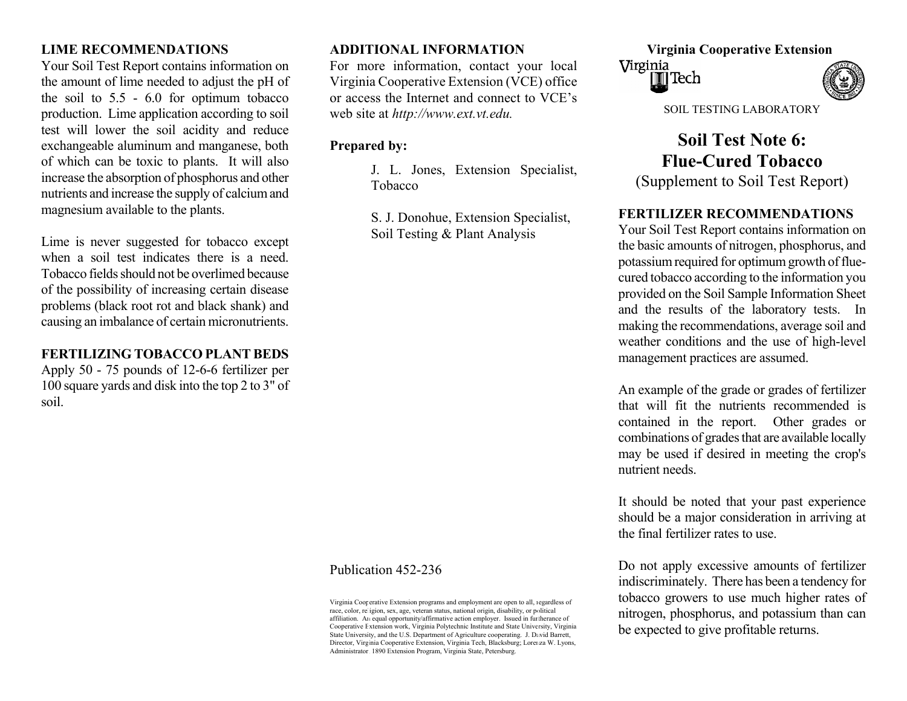Your Soil Test Report contains information on the amount of lime needed to adjust the pH of the soil to 5.5 - 6.0 for optimum tobacco production. Lim e application according to soil test will lower the soil acidity and reduce exchangeable aluminum and m anganese, both of which can be toxic to plants. It will also in cre ase th e absorption of phosphorus and other nutrients and increase the supply of calcium and m agnesium available to the plants.

Lime is never suggested for tobacco except Soil Testing & Plant Analysis when a soil test indicates there is a need. Tobacco fields should not be overlimed because of the possibility of increasing certain disease problems (black root rot and black shank) and causing an imbalance of certain micronutrients.

### **FERTILIZING TOBACCO PLANT BEDS**

Apply 50 - 75 pounds of 12-6-6 fertilizer per 100 square yards and disk into the top 2 to 3" of soil.

For m ore information, contact your local Virginia Cooperative Extension (VCE) office or access the Internet and connect to VCE's web site at *http://www.ext.vt.edu.*

# **Prep aredby:**

**FERTILIZER RECOMMENDATIONS**<br>
Soil Testing & Plant Analysis<br>
Your Soil Test Report contains information on

# **LIME RECOMMENDATIONS ADDITIONAL INFORMATION Virginia Cooperative Extension**





SOIL TESTING LABORATORY

**Soil Test Note 6: Flue-Cured Tobacco** J. L. Jones, Extension Specialist, Tobacco (Supplement to Soil Test Report)

the basic amounts of nitrogen, phosphorus, and pot assium required for optimum growth of fluecured tobacco according to the information you provided on the Soil Sample Information Sheet and the results of the laboratory tests. In m aking the recomm endations, average soil and weather conditions and the use of high-level managem ent practices are assum ed.

An example of the grade or grades of fertilizer that will fit the nutrients recommended is contained in the report. Other grades or combinations of grades that are available locally m ay be used if desired in meeting the crop's nutrient needs.

It should be noted that your past experience should be a major consideration in arriving at the final fertilizer rates to use.

Do not apply excessive amounts of fertilizer indiscriminately. There has been a tendency for tobacco growers to use much higher rates of nitrogen, phosphorus, and potassium than can be expected to give profitable returns.

### Publication 452-236

Virginia Cooperative Extension programs and employment are open to all, regardless of race, color, religion, sex, age, veteran status, national origin, disability, or political affiliation. An equal opportunity/affirmative action employer. Issued in furtherance of Cooperative Extension work, Virginia Polytechnic Institute and State University, Virginia State University, and the U.S. Department of Agriculture cooperating. J. David Barrett, Director, Virginia Cooperative Extension, Virginia Tech, Blacksburg; Lorenza W. Lyons, Administrator, 1890 Extension Program, Virginia State, Petersburg.